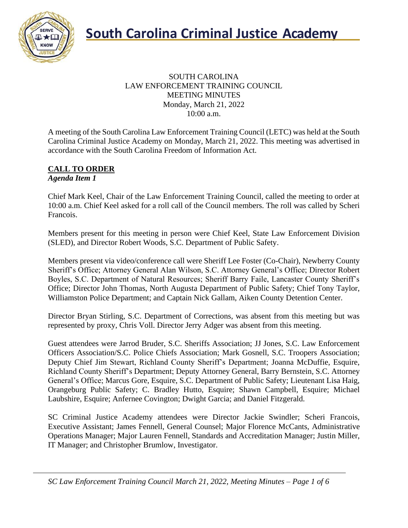

#### SOUTH CAROLINA LAW ENFORCEMENT TRAINING COUNCIL MEETING MINUTES Monday, March 21, 2022 10:00 a.m.

A meeting of the South Carolina Law Enforcement Training Council (LETC) was held at the South Carolina Criminal Justice Academy on Monday, March 21, 2022. This meeting was advertised in accordance with the South Carolina Freedom of Information Act.

#### **CALL TO ORDER** *Agenda Item 1*

Chief Mark Keel, Chair of the Law Enforcement Training Council, called the meeting to order at 10:00 a.m. Chief Keel asked for a roll call of the Council members. The roll was called by Scheri Francois.

Members present for this meeting in person were Chief Keel, State Law Enforcement Division (SLED), and Director Robert Woods, S.C. Department of Public Safety.

Members present via video/conference call were Sheriff Lee Foster (Co-Chair), Newberry County Sheriff's Office; Attorney General Alan Wilson, S.C. Attorney General's Office; Director Robert Boyles, S.C. Department of Natural Resources; Sheriff Barry Faile, Lancaster County Sheriff's Office; Director John Thomas, North Augusta Department of Public Safety; Chief Tony Taylor, Williamston Police Department; and Captain Nick Gallam, Aiken County Detention Center.

Director Bryan Stirling, S.C. Department of Corrections, was absent from this meeting but was represented by proxy, Chris Voll. Director Jerry Adger was absent from this meeting.

Guest attendees were Jarrod Bruder, S.C. Sheriffs Association; JJ Jones, S.C. Law Enforcement Officers Association/S.C. Police Chiefs Association; Mark Gosnell, S.C. Troopers Association; Deputy Chief Jim Stewart, Richland County Sheriff's Department; Joanna McDuffie, Esquire, Richland County Sheriff's Department; Deputy Attorney General, Barry Bernstein, S.C. Attorney General's Office; Marcus Gore, Esquire, S.C. Department of Public Safety; Lieutenant Lisa Haig, Orangeburg Public Safety; C. Bradley Hutto, Esquire; Shawn Campbell, Esquire; Michael Laubshire, Esquire; Anfernee Covington; Dwight Garcia; and Daniel Fitzgerald.

SC Criminal Justice Academy attendees were Director Jackie Swindler; Scheri Francois, Executive Assistant; James Fennell, General Counsel; Major Florence McCants, Administrative Operations Manager; Major Lauren Fennell, Standards and Accreditation Manager; Justin Miller, IT Manager; and Christopher Brumlow, Investigator.

*SC Law Enforcement Training Council March 21, 2022, Meeting Minutes – Page 1 of 6*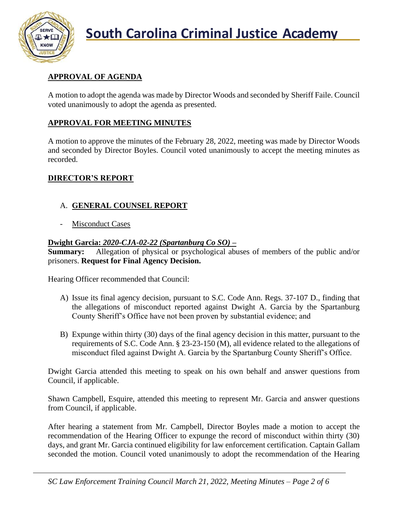

# **APPROVAL OF AGENDA**

A motion to adopt the agenda was made by Director Woods and seconded by Sheriff Faile. Council voted unanimously to adopt the agenda as presented.

# **APPROVAL FOR MEETING MINUTES**

A motion to approve the minutes of the February 28, 2022, meeting was made by Director Woods and seconded by Director Boyles. Council voted unanimously to accept the meeting minutes as recorded.

## **DIRECTOR'S REPORT**

## A. **GENERAL COUNSEL REPORT**

Misconduct Cases

#### **Dwight Garcia:** *2020-CJA-02-22 (Spartanburg Co SO)* **–**

**Summary:** Allegation of physical or psychological abuses of members of the public and/or prisoners. **Request for Final Agency Decision.**

Hearing Officer recommended that Council:

- A) Issue its final agency decision, pursuant to S.C. Code Ann. Regs. 37-107 D., finding that the allegations of misconduct reported against Dwight A. Garcia by the Spartanburg County Sheriff's Office have not been proven by substantial evidence; and
- B) Expunge within thirty (30) days of the final agency decision in this matter, pursuant to the requirements of S.C. Code Ann. § 23-23-150 (M), all evidence related to the allegations of misconduct filed against Dwight A. Garcia by the Spartanburg County Sheriff's Office.

Dwight Garcia attended this meeting to speak on his own behalf and answer questions from Council, if applicable.

Shawn Campbell, Esquire, attended this meeting to represent Mr. Garcia and answer questions from Council, if applicable.

After hearing a statement from Mr. Campbell, Director Boyles made a motion to accept the recommendation of the Hearing Officer to expunge the record of misconduct within thirty (30) days, and grant Mr. Garcia continued eligibility for law enforcement certification. Captain Gallam seconded the motion. Council voted unanimously to adopt the recommendation of the Hearing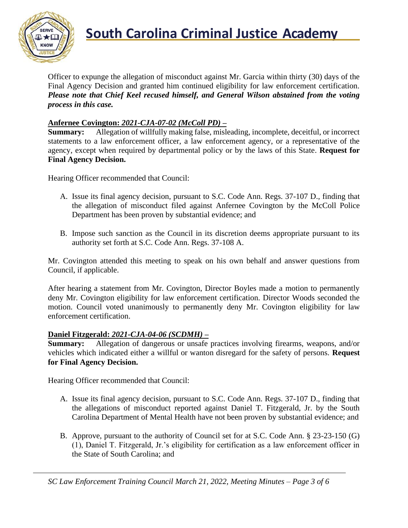

Officer to expunge the allegation of misconduct against Mr. Garcia within thirty (30) days of the Final Agency Decision and granted him continued eligibility for law enforcement certification. *Please note that Chief Keel recused himself, and General Wilson abstained from the voting process in this case.*

#### **Anfernee Covington:** *2021-CJA-07-02 (McColl PD)* **–**

**Summary:** Allegation of willfully making false, misleading, incomplete, deceitful, or incorrect statements to a law enforcement officer, a law enforcement agency, or a representative of the agency, except when required by departmental policy or by the laws of this State. **Request for Final Agency Decision.**

Hearing Officer recommended that Council:

- A. Issue its final agency decision, pursuant to S.C. Code Ann. Regs. 37-107 D., finding that the allegation of misconduct filed against Anfernee Covington by the McColl Police Department has been proven by substantial evidence; and
- B. Impose such sanction as the Council in its discretion deems appropriate pursuant to its authority set forth at S.C. Code Ann. Regs. 37-108 A.

Mr. Covington attended this meeting to speak on his own behalf and answer questions from Council, if applicable.

After hearing a statement from Mr. Covington, Director Boyles made a motion to permanently deny Mr. Covington eligibility for law enforcement certification. Director Woods seconded the motion. Council voted unanimously to permanently deny Mr. Covington eligibility for law enforcement certification.

#### **Daniel Fitzgerald:** *2021-CJA-04-06 (SCDMH)* **–**

**Summary:** Allegation of dangerous or unsafe practices involving firearms, weapons, and/or vehicles which indicated either a willful or wanton disregard for the safety of persons. **Request for Final Agency Decision.**

Hearing Officer recommended that Council:

- A. Issue its final agency decision, pursuant to S.C. Code Ann. Regs. 37-107 D., finding that the allegations of misconduct reported against Daniel T. Fitzgerald, Jr. by the South Carolina Department of Mental Health have not been proven by substantial evidence; and
- B. Approve, pursuant to the authority of Council set for at S.C. Code Ann. § 23-23-150 (G) (1), Daniel T. Fitzgerald, Jr.'s eligibility for certification as a law enforcement officer in the State of South Carolina; and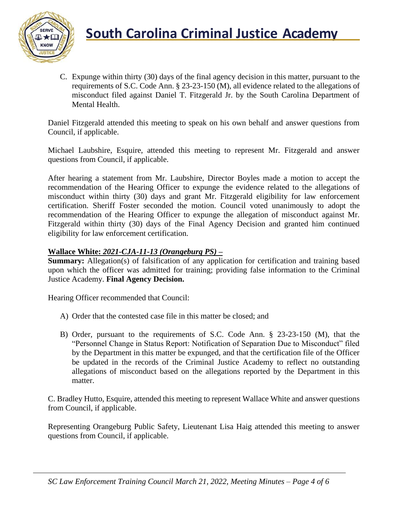

C. Expunge within thirty (30) days of the final agency decision in this matter, pursuant to the requirements of S.C. Code Ann. § 23-23-150 (M), all evidence related to the allegations of misconduct filed against Daniel T. Fitzgerald Jr. by the South Carolina Department of Mental Health.

Daniel Fitzgerald attended this meeting to speak on his own behalf and answer questions from Council, if applicable.

Michael Laubshire, Esquire, attended this meeting to represent Mr. Fitzgerald and answer questions from Council, if applicable.

After hearing a statement from Mr. Laubshire, Director Boyles made a motion to accept the recommendation of the Hearing Officer to expunge the evidence related to the allegations of misconduct within thirty (30) days and grant Mr. Fitzgerald eligibility for law enforcement certification. Sheriff Foster seconded the motion. Council voted unanimously to adopt the recommendation of the Hearing Officer to expunge the allegation of misconduct against Mr. Fitzgerald within thirty (30) days of the Final Agency Decision and granted him continued eligibility for law enforcement certification.

## **Wallace White:** *2021-CJA-11-13 (Orangeburg PS) –*

**Summary:** Allegation(s) of falsification of any application for certification and training based upon which the officer was admitted for training; providing false information to the Criminal Justice Academy. **Final Agency Decision.**

Hearing Officer recommended that Council:

- A) Order that the contested case file in this matter be closed; and
- B) Order, pursuant to the requirements of S.C. Code Ann. § 23-23-150 (M), that the "Personnel Change in Status Report: Notification of Separation Due to Misconduct" filed by the Department in this matter be expunged, and that the certification file of the Officer be updated in the records of the Criminal Justice Academy to reflect no outstanding allegations of misconduct based on the allegations reported by the Department in this matter.

C. Bradley Hutto, Esquire, attended this meeting to represent Wallace White and answer questions from Council, if applicable.

Representing Orangeburg Public Safety, Lieutenant Lisa Haig attended this meeting to answer questions from Council, if applicable.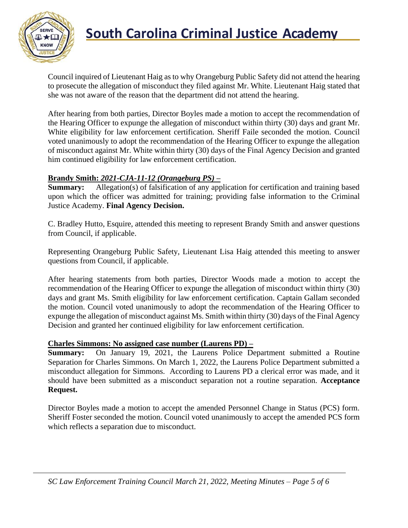

# **South Carolina Criminal Justice Academy**<br>KNOW

Council inquired of Lieutenant Haig as to why Orangeburg Public Safety did not attend the hearing to prosecute the allegation of misconduct they filed against Mr. White. Lieutenant Haig stated that she was not aware of the reason that the department did not attend the hearing.

After hearing from both parties, Director Boyles made a motion to accept the recommendation of the Hearing Officer to expunge the allegation of misconduct within thirty (30) days and grant Mr. White eligibility for law enforcement certification. Sheriff Faile seconded the motion. Council voted unanimously to adopt the recommendation of the Hearing Officer to expunge the allegation of misconduct against Mr. White within thirty (30) days of the Final Agency Decision and granted him continued eligibility for law enforcement certification.

## **Brandy Smith:** *2021-CJA-11-12 (Orangeburg PS)* **–**

**Summary:** Allegation(s) of falsification of any application for certification and training based upon which the officer was admitted for training; providing false information to the Criminal Justice Academy. **Final Agency Decision.**

C. Bradley Hutto, Esquire, attended this meeting to represent Brandy Smith and answer questions from Council, if applicable.

Representing Orangeburg Public Safety, Lieutenant Lisa Haig attended this meeting to answer questions from Council, if applicable.

After hearing statements from both parties, Director Woods made a motion to accept the recommendation of the Hearing Officer to expunge the allegation of misconduct within thirty (30) days and grant Ms. Smith eligibility for law enforcement certification. Captain Gallam seconded the motion. Council voted unanimously to adopt the recommendation of the Hearing Officer to expunge the allegation of misconduct against Ms. Smith within thirty (30) days of the Final Agency Decision and granted her continued eligibility for law enforcement certification.

#### **Charles Simmons: No assigned case number (Laurens PD) –**

**Summary:** On January 19, 2021, the Laurens Police Department submitted a Routine Separation for Charles Simmons. On March 1, 2022, the Laurens Police Department submitted a misconduct allegation for Simmons. According to Laurens PD a clerical error was made, and it should have been submitted as a misconduct separation not a routine separation. **Acceptance Request.**

Director Boyles made a motion to accept the amended Personnel Change in Status (PCS) form. Sheriff Foster seconded the motion. Council voted unanimously to accept the amended PCS form which reflects a separation due to misconduct.